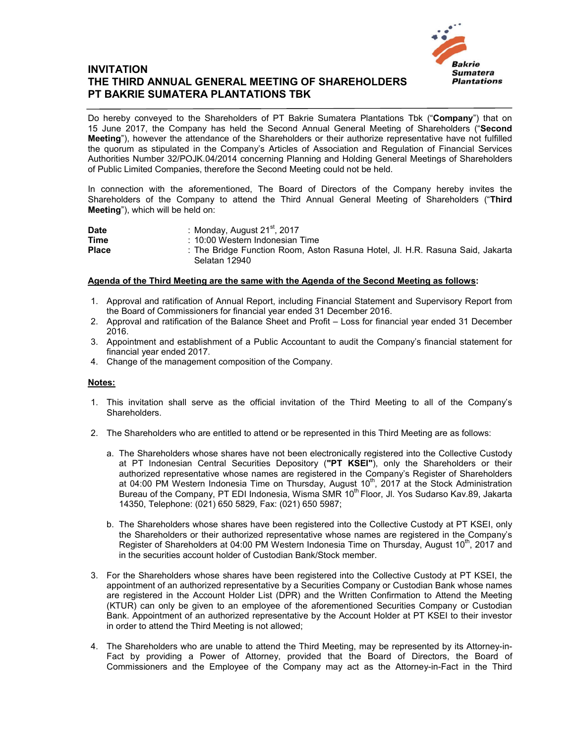

## **INVITATION THE THIRD ANNUAL GENERAL MEETING OF SHAREHOLDERS PT BAKRIE SUMATERA PLANTATIONS TBK**

Do hereby conveyed to the Shareholders of PT Bakrie Sumatera Plantations Tbk ("**Company**") that on 15 June 2017, the Company has held the Second Annual General Meeting of Shareholders ("**Second Meeting**"), however the attendance of the Shareholders or their authorize representative have not fulfilled the quorum as stipulated in the Company's Articles of Association and Regulation of Financial Services Authorities Number 32/POJK.04/2014 concerning Planning and Holding General Meetings of Shareholders of Public Limited Companies, therefore the Second Meeting could not be held.

In connection with the aforementioned, The Board of Directors of the Company hereby invites the Shareholders of the Company to attend the Third Annual General Meeting of Shareholders ("**Third Meeting**"), which will be held on:

| <b>Date</b>  | : Monday, August $21st$ , 2017                                                |
|--------------|-------------------------------------------------------------------------------|
| <b>Time</b>  | : 10:00 Western Indonesian Time                                               |
| <b>Place</b> | : The Bridge Function Room, Aston Rasuna Hotel, Jl. H.R. Rasuna Said, Jakarta |
|              | Selatan 12940                                                                 |

## **Agenda of the Third Meeting are the same with the Agenda of the Second Meeting as follows:**

- 1. Approval and ratification of Annual Report, including Financial Statement and Supervisory Report from the Board of Commissioners for financial year ended 31 December 2016.
- 2. Approval and ratification of the Balance Sheet and Profit Loss for financial year ended 31 December 2016.
- 3. Appointment and establishment of a Public Accountant to audit the Company's financial statement for financial year ended 2017.
- 4. Change of the management composition of the Company.

## **Notes:**

- 1. This invitation shall serve as the official invitation of the Third Meeting to all of the Company's **Shareholders**
- 2. The Shareholders who are entitled to attend or be represented in this Third Meeting are as follows:
	- a. The Shareholders whose shares have not been electronically registered into the Collective Custody at PT Indonesian Central Securities Depository (**"PT KSEI"**), only the Shareholders or their authorized representative whose names are registered in the Company's Register of Shareholders at 04:00 PM Western Indonesia Time on Thursday, August  $10<sup>th</sup>$ , 2017 at the Stock Administration Bureau of the Company, PT EDI Indonesia, Wisma SMR 10<sup>th</sup> Floor, Jl. Yos Sudarso Kav.89, Jakarta 14350, Telephone: (021) 650 5829, Fax: (021) 650 5987;
	- b. The Shareholders whose shares have been registered into the Collective Custody at PT KSEI, only the Shareholders or their authorized representative whose names are registered in the Company's Register of Shareholders at 04:00 PM Western Indonesia Time on Thursday, August 10<sup>th</sup>, 2017 and in the securities account holder of Custodian Bank/Stock member.
- 3. For the Shareholders whose shares have been registered into the Collective Custody at PT KSEI, the appointment of an authorized representative by a Securities Company or Custodian Bank whose names are registered in the Account Holder List (DPR) and the Written Confirmation to Attend the Meeting (KTUR) can only be given to an employee of the aforementioned Securities Company or Custodian Bank. Appointment of an authorized representative by the Account Holder at PT KSEI to their investor in order to attend the Third Meeting is not allowed;
- 4. The Shareholders who are unable to attend the Third Meeting, may be represented by its Attorney-in-Fact by providing a Power of Attorney, provided that the Board of Directors, the Board of Commissioners and the Employee of the Company may act as the Attorney-in-Fact in the Third